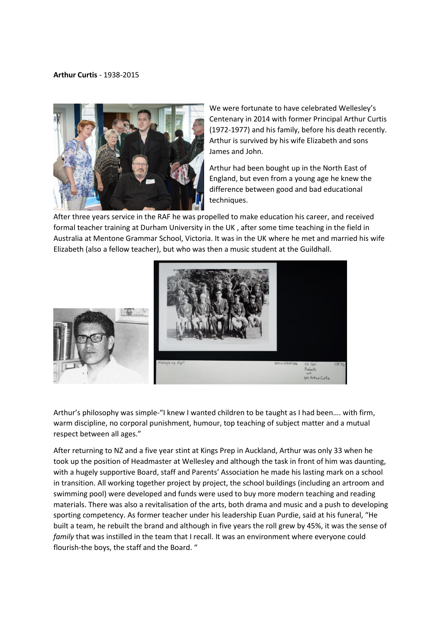## **Arthur Curtis** - 1938-2015



We were fortunate to have celebrated Wellesley's Centenary in 2014 with former Principal Arthur Curtis (1972-1977) and his family, before his death recently. Arthur is survived by his wife Elizabeth and sons James and John.

Arthur had been bought up in the North East of England, but even from a young age he knew the difference between good and bad educational techniques.

After three years service in the RAF he was propelled to make education his career, and received formal teacher training at Durham University in the UK , after some time teaching in the field in Australia at Mentone Grammar School, Victoria. It was in the UK where he met and married his wife Elizabeth (also a fellow teacher), but who was then a music student at the Guildhall.



Arthur's philosophy was simple-"I knew I wanted children to be taught as I had been…. with firm, warm discipline, no corporal punishment, humour, top teaching of subject matter and a mutual respect between all ages."

After returning to NZ and a five year stint at Kings Prep in Auckland, Arthur was only 33 when he took up the position of Headmaster at Wellesley and although the task in front of him was daunting, with a hugely supportive Board, staff and Parents' Association he made his lasting mark on a school in transition. All working together project by project, the school buildings (including an artroom and swimming pool) were developed and funds were used to buy more modern teaching and reading materials. There was also a revitalisation of the arts, both drama and music and a push to developing sporting competency. As former teacher under his leadership Euan Purdie, said at his funeral, "He built a team, he rebuilt the brand and although in five years the roll grew by 45%, it was the sense of *family* that was instilled in the team that I recall. It was an environment where everyone could flourish-the boys, the staff and the Board. "